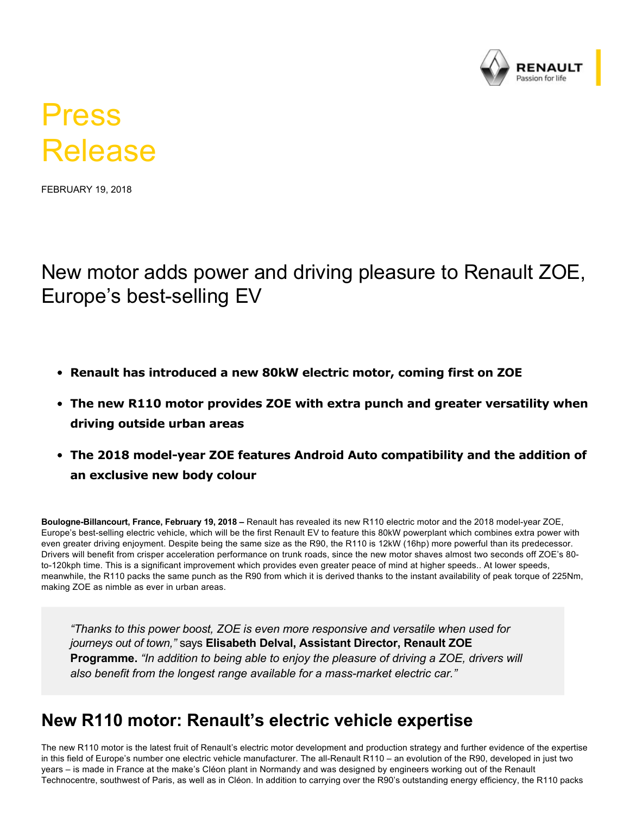

# Press Release

FEBRUARY 19, 2018

New motor adds power and driving pleasure to Renault ZOE, Europe's best-selling EV

- **Renault has introduced a new 80kW electric motor, coming first on ZOE**
- **The new R110 motor provides ZOE with extra punch and greater versatility when driving outside urban areas**
- **The 2018 modelyear ZOE features Android Auto compatibility and the addition of an exclusive new body colour**

Boulogne-Billancourt, France, February 19, 2018 – Renault has revealed its new R110 electric motor and the 2018 model-year ZOE, Europe's best-selling electric vehicle, which will be the first Renault EV to feature this 80kW powerplant which combines extra power with even greater driving enjoyment. Despite being the same size as the R90, the R110 is 12kW (16hp) more powerful than its predecessor. Drivers will benefit from crisper acceleration performance on trunk roads, since the new motor shaves almost two seconds off ZOE's 80 to-120kph time. This is a significant improvement which provides even greater peace of mind at higher speeds.. At lower speeds, meanwhile, the R110 packs the same punch as the R90 from which it is derived thanks to the instant availability of peak torque of 225Nm, making ZOE as nimble as ever in urban areas.

*"Thanks to this power boost, ZOE is even more responsive and versatile when used for journeys out of town,"* says **Elisabeth Delval, Assistant Director, Renault ZOE Programme.** *"In addition to being able to enjoy the pleasure of driving a ZOE, drivers will* also benefit from the longest range available for a mass-market electric car."

#### **New R110 motor: Renault's electric vehicle expertise**

The new R110 motor is the latest fruit of Renault's electric motor development and production strategy and further evidence of the expertise in this field of Europe's number one electric vehicle manufacturer. The all-Renault R110 – an evolution of the R90, developed in just two years – is made in France at the make's Cléon plant in Normandy and was designed by engineers working out of the Renault Technocentre, southwest of Paris, as well as in Cléon. In addition to carrying over the R90's outstanding energy efficiency, the R110 packs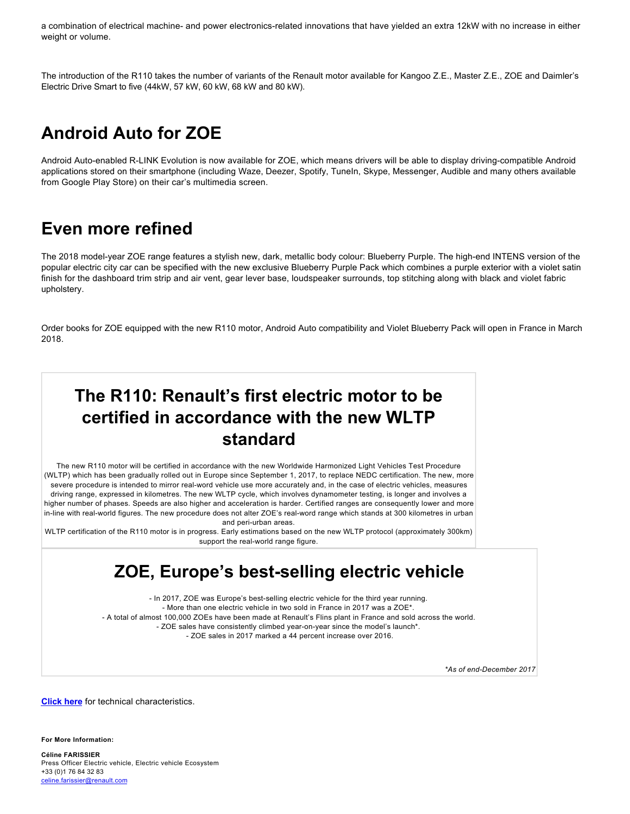a combination of electrical machine- and power electronics-related innovations that have yielded an extra 12kW with no increase in either weight or volume.

The introduction of the R110 takes the number of variants of the Renault motor available for Kangoo Z.E., Master Z.E., ZOE and Daimler's Electric Drive Smart to five (44kW, 57 kW, 60 kW, 68 kW and 80 kW).

## **Android Auto for ZOE**

Android Auto-enabled R-LINK Evolution is now available for ZOE, which means drivers will be able to display driving-compatible Android applications stored on their smartphone (including Waze, Deezer, Spotify, TuneIn, Skype, Messenger, Audible and many others available from Google Play Store) on their car's multimedia screen.

#### **Even more refined**

The 2018 model-year ZOE range features a stylish new, dark, metallic body colour: Blueberry Purple. The high-end INTENS version of the popular electric city car can be specified with the new exclusive Blueberry Purple Pack which combines a purple exterior with a violet satin finish for the dashboard trim strip and air vent, gear lever base, loudspeaker surrounds, top stitching along with black and violet fabric upholstery.

Order books for ZOE equipped with the new R110 motor, Android Auto compatibility and Violet Blueberry Pack will open in France in March 2018.

# **The R110: Renault's first electric motor to be certified in accordance with the new WLTP standard**

The new R110 motor will be certified in accordance with the new Worldwide Harmonized Light Vehicles Test Procedure (WLTP) which has been gradually rolled out in Europe since September 1, 2017, to replace NEDC certification. The new, more severe procedure is intended to mirror real-word vehicle use more accurately and, in the case of electric vehicles, measures driving range, expressed in kilometres. The new WLTP cycle, which involves dynamometer testing, is longer and involves a higher number of phases. Speeds are also higher and acceleration is harder. Certified ranges are consequently lower and more in-line with real-world figures. The new procedure does not alter ZOE's real-word range which stands at 300 kilometres in urban and peri-urban areas.

WLTP certification of the R110 motor is in progress. Early estimations based on the new WLTP protocol (approximately 300km) support the real-world range figure.

## **ZOE, Europe's best-selling electric vehicle**

- In 2017, ZOE was Europe's best-selling electric vehicle for the third year running. - More than one electric vehicle in two sold in France in 2017 was a ZOE\* A total of almost 100,000 ZOEs have been made at Renault's Flins plant in France and sold across the world. - ZOE sales have consistently climbed year-on-year since the model's launch\*. ZOE sales in 2017 marked a 44 percent increase over 2016.

\*As of end-December 2017

**[Click here](https://media.group.renault.com/global/en-gb/download/21204255)** for technical characteristics.

**For More Information:**

**Céline FARISSIER** Press Officer Electric vehicle, Electric vehicle Ecosystem +33 (0)1 76 84 32 83 [celine.farissier@renault.com](mailto: celine.farissier@renault.com)